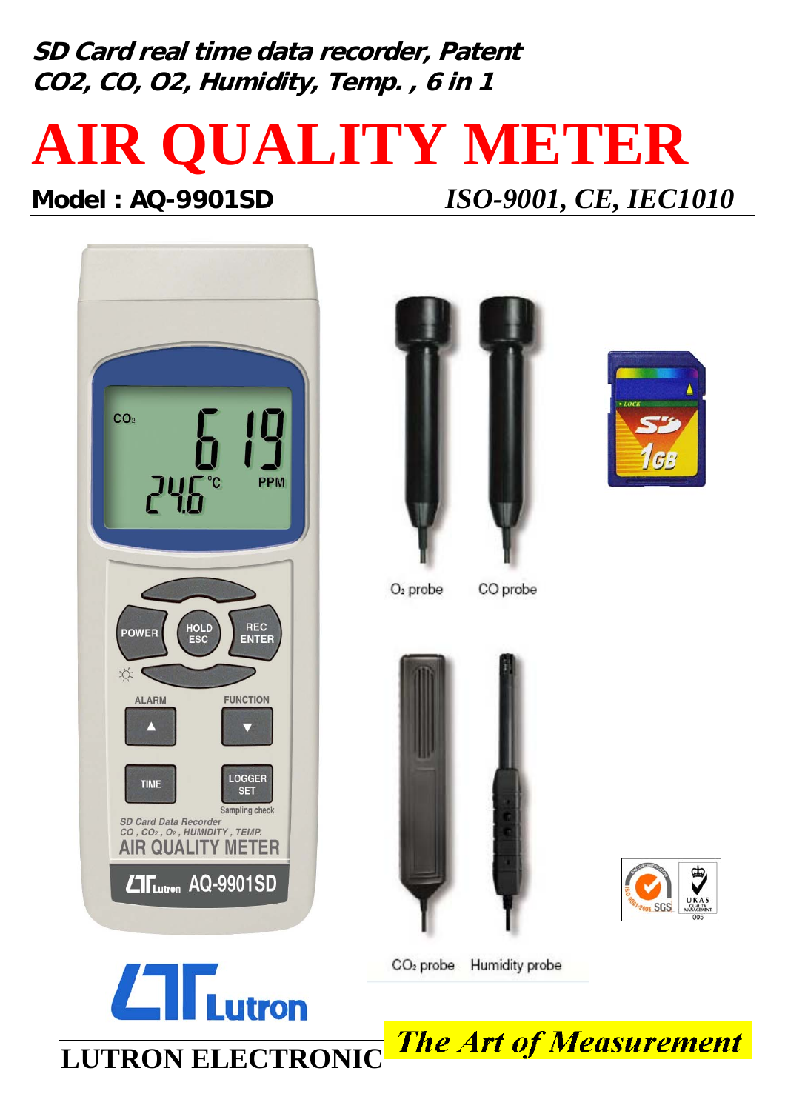**SD Card real time data recorder, Patent CO2, CO, O2, Humidity, Temp. , 6 in 1**

# **AIR QUALITY METER**





 $L$   $\Gamma$ <sub>Lutron</sub>





 $O<sub>2</sub>$  probe

CO probe





CO<sub>2</sub> probe Humidity probe

**The Art of Measurement LUTRON ELECTRONIC**